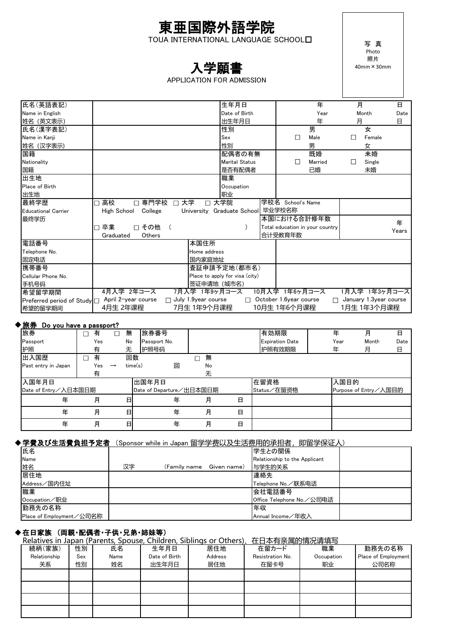## 東亜国際外語学院 TOUA INTERNATIONAL LANGUAGE SCHOOL

# 入学願書

## APPLICATION FOR ADMISSION

写 真 Photo 照片 40mm×30mm

| 氏名(英語表記)                   |                                 |                            | 生年月日                              |                                 | 年       | 月 |                                | 日     |
|----------------------------|---------------------------------|----------------------------|-----------------------------------|---------------------------------|---------|---|--------------------------------|-------|
| Name in English            |                                 |                            | Date of Birth                     |                                 | Year    |   | Month                          | Date  |
| 姓名 (英文表示)                  |                                 |                            | 出生年月日                             |                                 | 年       | 月 |                                | 日     |
| 氏名(漢字表記)                   |                                 |                            | 性別                                |                                 | 男       |   | 女                              |       |
| Name in Kanii              |                                 |                            | Sex                               | П                               | Male    | ш | Female                         |       |
| 姓名 (汉字表示)                  |                                 |                            | 性別                                |                                 | 男       |   | 女                              |       |
| 国籍                         |                                 |                            | 配偶者の有無                            |                                 | 既婚      |   | 未婚                             |       |
| Nationality                |                                 |                            | <b>Marital Status</b>             |                                 | Married | Ш | Single                         |       |
| 国籍                         |                                 |                            | 是否有配偶者                            |                                 | 已婚      |   | 未婚                             |       |
| 出生地                        |                                 |                            | 職業                                |                                 |         |   |                                |       |
| Place of Birth             |                                 |                            | Occupation                        |                                 |         |   |                                |       |
| 出生地                        |                                 |                            | 职业                                |                                 |         |   |                                |       |
| 最終学歴                       | 高校<br>専門学校<br>$\Box$<br>□<br>П. | 大学<br>$\Box$               | 大学院                               | 学校名 School's Name               |         |   |                                |       |
| <b>Educational Carrier</b> | High School<br>College          |                            | University Graduate School 毕业学校名称 |                                 |         |   |                                |       |
| 最终学历                       |                                 |                            |                                   | 本国における合計修年数                     |         |   |                                |       |
|                            | 卒業<br>□ その他<br>П                |                            |                                   | Total education in your country |         |   |                                | 年     |
|                            | Others<br>Graduated             |                            |                                   | 合计受教育年数                         |         |   |                                | Years |
| 電話番号                       |                                 | 本国住所                       |                                   |                                 |         |   |                                |       |
| Telephone No.              |                                 | Home address               |                                   |                                 |         |   |                                |       |
| 固定电话                       |                                 | 国内家庭地址                     |                                   |                                 |         |   |                                |       |
| 携帯番号                       |                                 |                            | 査証申請予定地(都市名)                      |                                 |         |   |                                |       |
| Cellular Phone No.         |                                 |                            | Place to apply for visa (city)    |                                 |         |   |                                |       |
| 手机号码                       |                                 | 签证申请地 (城市名)                |                                   |                                 |         |   |                                |       |
| 希望留学期間                     | 4月入学 2年コース                      | 7月入学 1年9ヶ月コース              |                                   | 10月入学 1年6ヶ月コース                  |         |   | 1月入学 1年3ヶ月コース                  |       |
| Preferred period of Study□ | April 2-year course             | $\Box$ July 1.9year course |                                   | $\Box$ October 1.6year course   |         |   | $\Box$ January 1.3 year course |       |
| 希望的留学期间                    | 4月生 2年课程                        | 7月生 1年9个月课程                |                                   | 10月生 1年6个月课程                    |         |   | 1月生 1年3个月课程                    |       |
|                            |                                 |                            |                                   |                                 |         |   |                                |       |

## ◆旅券 Do you have a passport?

| 旅券                   | 有   |               | 無       | 旅券番号                     |    |   | 有効期限                   | 年    | 月                     | 日    |
|----------------------|-----|---------------|---------|--------------------------|----|---|------------------------|------|-----------------------|------|
| Passport             | Yes |               | No      | Passport No.             |    |   | <b>Expiration Date</b> | Year | Month                 | Date |
| 护照                   | 有   |               | 无       | 护照号码                     |    |   | 护照有效期限                 | 年    | 月                     | 日    |
| 出入国歴                 | 有   |               | 回数      |                          | 無  |   |                        |      |                       |      |
| Past entry in Japan  | Yes | $\rightarrow$ | time(s) | 回                        | No |   |                        |      |                       |      |
|                      | 有   |               |         |                          | 无  |   |                        |      |                       |      |
| 入国年月日                |     |               |         | 出国年月日                    |    |   | 在留資格                   | 入国目的 |                       |      |
| Date of Entry/入日本国日期 |     |               |         | Date of Departure/出日本国日期 |    |   | Status/在留资格            |      | Purpose of Entry/入国目的 |      |
| 年                    | 月   |               | 日       | 年                        | 月  | 日 |                        |      |                       |      |
| 年                    | 月   |               | 日       | 年                        | 月  | 日 |                        |      |                       |      |
| 年                    | 月   |               | 日       | 年                        | 月  | 日 |                        |      |                       |      |

## ◆学費及び生活費負担予定者 (Sponsor while in Japan 留学学费以及生活费用的承担者,即留学保证人)

| 氏名                       |    |                           | 学生との関係                        |  |
|--------------------------|----|---------------------------|-------------------------------|--|
| Name                     |    |                           | Relationship to the Applicant |  |
| 姓名                       | 汉字 | (Family name  Given name) | 与学生的关系                        |  |
| 居住地                      |    |                           | 連絡先                           |  |
| Address/国内住址             |    |                           | Telephone No./联系电话            |  |
| 職業                       |    |                           | 会社電話番号                        |  |
| Occupation/职业            |    |                           | Office Telephone No./公司电话     |  |
| 勤務先の名称                   |    |                           | 年収                            |  |
| Place of Employment/公司名称 |    |                           | Annual Income/年收入             |  |

## ◆在日家族 (両親・配偶者・子供・兄弟・姉妹等)

|              |     |      |               | Relatives in Japan (Parents, Spouse, Children, Siblings or Others)、在日本有亲属的情况请填写 |                  |            |                     |
|--------------|-----|------|---------------|---------------------------------------------------------------------------------|------------------|------------|---------------------|
| 続柄(家族)       | 性別  | 氏名   | 生年月日          | 居住地                                                                             | 在留カード            | 職業         | 勤務先の名称              |
| Relationship | Sex | Name | Date of Birth | Address                                                                         | Resistration No. | Occupation | Place of Employment |
| 关系           | 性別  | 姓名   | 出生年月日         | 居住地                                                                             | 在留卡号             | 职业         | 公司名称                |
|              |     |      |               |                                                                                 |                  |            |                     |
|              |     |      |               |                                                                                 |                  |            |                     |
|              |     |      |               |                                                                                 |                  |            |                     |
|              |     |      |               |                                                                                 |                  |            |                     |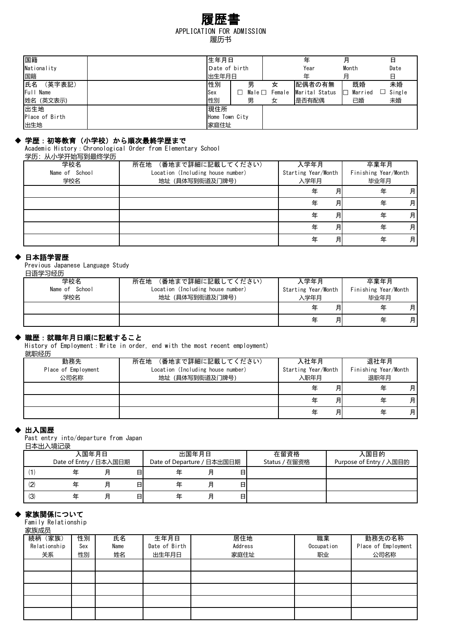## APPLICATION FOR ADMISSION 履歴書 履历书

| 国籍             | 生年月日           |                |        | 年              | 月            | 日      |
|----------------|----------------|----------------|--------|----------------|--------------|--------|
| Nationality    | Date of birth  |                |        | Year           | Month        | Date   |
| 国籍             | 出生年月日          |                |        | 年              | 月            | 日      |
| 氏名<br>(英字表記)   | 性別             | 男              | 女      | 配偶者の有無         | 既婚           | 未婚     |
| Full Name      | Sex            | Male $\square$ | Female | Marital Status | ⊏<br>Married | Single |
| 姓名 (英文表示)      | 性別             | 男              | 女      | 是否有配偶          | 已婚           | 未婚     |
| 出生地            | 現住所            |                |        |                |              |        |
| Place of Birth | Home Town City |                |        |                |              |        |
| 出生地            | 家庭住址           |                |        |                |              |        |

## ◆ 学歴:初等教育(小学校)から順次最終学歴まで

Academic History:Chronological Order from Elementary School

学历:从小学开始写到最终学历

| 学校名            | (番地まで詳細に記載してください)<br>所在地          | 入学年月                | 卒業年月                 |
|----------------|-----------------------------------|---------------------|----------------------|
| Name of School | Location (Including house number) | Starting Year/Month | Finishing Year/Month |
| 学校名            | 地址 (具体写到街道及门牌号)                   | 入学年月                | 毕业年月                 |
|                |                                   | 缶                   | 月<br>年<br>月          |
|                |                                   |                     | 月<br>月<br>年          |
|                |                                   | 年                   | 月<br>月<br>年          |
|                |                                   | 年                   | 月<br>月<br>年          |
|                |                                   | 仼                   | 月<br>月<br>年          |

#### 日本語学習歴

Previous Japanese Language Study 日语学习经历

| 学校名            | (番地まで詳細に記載してください)<br>所在地          | 入学年月                | 卒業年月                 |
|----------------|-----------------------------------|---------------------|----------------------|
| Name of School | Location (Including house number) | Starting Year/Month | Finishing Year/Month |
| 学校名            | 地址 (具体写到街道及门牌号)                   | 入学年月                | 毕业年月                 |
|                |                                   | 月                   | 月<br>年               |
|                |                                   | 月                   | 月<br>年               |

## 職歴:就職年月日順に記載すること

History of Employment: Write in order, end with the most recent employment) 就职经历

| ***************     |                                   |                     |                      |
|---------------------|-----------------------------------|---------------------|----------------------|
| 勤務先                 | (番地まで詳細に記載してください)<br>所在地          | 入社年月                | 退社年月                 |
| Place of Employment | Location (Including house number) | Starting Year/Month | Finishing Year/Month |
| 公司名称                | 地址 (具体写到街道及门牌号)                   | 入职年月                | 退职年月                 |
|                     |                                   | 月<br>缶              | 月<br>年               |
|                     |                                   | 月                   | 月<br>年               |
|                     |                                   | 月<br>仠              | 月<br>年               |

#### ◆ 出入国歴

Past entry into/departure from Japan 日本出入境记录

|               | 入国年月日                  |   |   | 出国年月日                      |   |   | 在留資格          | 入国目的                    |
|---------------|------------------------|---|---|----------------------------|---|---|---------------|-------------------------|
|               | Date of Entry / 日本入国日期 |   |   | Date of Departure / 日本出国日期 |   |   | Status / 在留资格 | Purpose of Entry / 入国目的 |
|               |                        | 月 | 日 |                            |   | 日 |               |                         |
| $\mathcal{L}$ |                        | 月 | 日 |                            | 月 | 日 |               |                         |
| (3)           |                        | 月 | 日 |                            | 月 | 日 |               |                         |

## 家族関係について

Family Relationship

| 家族成员 |
|------|
|------|

| <b>多い大ルメント</b> |     |      |               |         |            |                     |
|----------------|-----|------|---------------|---------|------------|---------------------|
| 続柄(家族)         | 性別  | 氏名   | 生年月日          | 居住地     | 職業         | 勤務先の名称              |
| Relationship   | Sex | Name | Date of Birth | Address | Occupation | Place of Employment |
| 关系             | 性別  | 姓名   | 出生年月日         | 家庭住址    | 职业         | 公司名称                |
|                |     |      |               |         |            |                     |
|                |     |      |               |         |            |                     |
|                |     |      |               |         |            |                     |
|                |     |      |               |         |            |                     |
|                |     |      |               |         |            |                     |
|                |     |      |               |         |            |                     |
|                |     |      |               |         |            |                     |
|                |     |      |               |         |            |                     |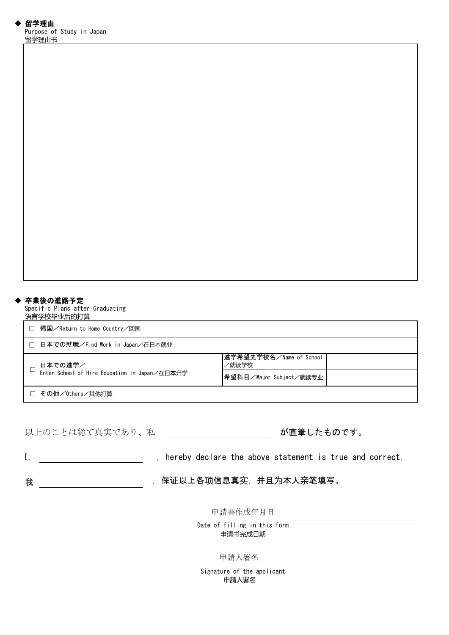#### ◆ 卒業後の進路予定

Specific Plans after Graduating 语言学校毕业后的打算

| 帰国/Return to Home Country/回国                  |                                  |  |  |  |  |
|-----------------------------------------------|----------------------------------|--|--|--|--|
| 日本での就職/Find Work in Japan/在日本就业               |                                  |  |  |  |  |
| 日本での進学/                                       | 進学希望先学校名/Name of School<br>/就读学校 |  |  |  |  |
| Enter School of Hire Education in Japan/在日本升学 | 希望科目/Major Subject/就读专业          |  |  |  |  |
| □ その他/0thers/其他打算                             |                                  |  |  |  |  |

以上のことは総て真実であり、私

が直筆したものです。

I, thereby declare the above statement is true and correct.

我 保证以上各项信息真实,并且为本人亲笔填写。

申請書作成年月日

Date of filling in this form 申请书完成日期

申請人署名

Signature of the applicant 申請人署名